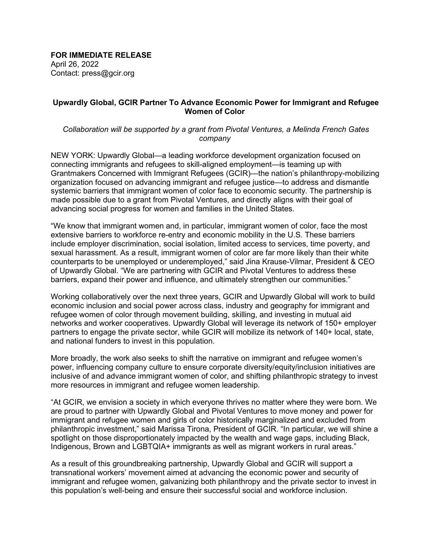**FOR IMMEDIATE RELEASE** April 26, 2022 Contact: press@gcir.org

## **Upwardly Global, GCIR Partner To Advance Economic Power for Immigrant and Refugee Women of Color**

## *Collaboration will be supported by a grant from Pivotal Ventures, a Melinda French Gates company*

NEW YORK: Upwardly Global—a leading workforce development organization focused on connecting immigrants and refugees to skill-aligned employment—is teaming up with Grantmakers Concerned with Immigrant Refugees (GCIR)—the nation's philanthropy-mobilizing organization focused on advancing immigrant and refugee justice—to address and dismantle systemic barriers that immigrant women of color face to economic security. The partnership is made possible due to a grant from Pivotal Ventures, and directly aligns with their goal of advancing social progress for women and families in the United States.

"We know that immigrant women and, in particular, immigrant women of color, face the most extensive barriers to workforce re-entry and economic mobility in the U.S. These barriers include employer discrimination, social isolation, limited access to services, time poverty, and sexual harassment. As a result, immigrant women of color are far more likely than their white counterparts to be unemployed or underemployed," said Jina Krause-Vilmar, President & CEO of Upwardly Global. "We are partnering with GCIR and Pivotal Ventures to address these barriers, expand their power and influence, and ultimately strengthen our communities." 

Working collaboratively over the next three years, GCIR and Upwardly Global will work to build economic inclusion and social power across class, industry and geography for immigrant and refugee women of color through movement building, skilling, and investing in mutual aid networks and worker cooperatives. Upwardly Global will leverage its network of 150+ employer partners to engage the private sector, while GCIR will mobilize its network of 140+ local, state, and national funders to invest in this population.

More broadly, the work also seeks to shift the narrative on immigrant and refugee women's power, influencing company culture to ensure corporate diversity/equity/inclusion initiatives are inclusive of and advance immigrant women of color, and shifting philanthropic strategy to invest more resources in immigrant and refugee women leadership. 

"At GCIR, we envision a society in which everyone thrives no matter where they were born. We are proud to partner with Upwardly Global and Pivotal Ventures to move money and power for immigrant and refugee women and girls of color historically marginalized and excluded from philanthropic investment," said Marissa Tirona, President of GCIR. "In particular, we will shine a spotlight on those disproportionately impacted by the wealth and wage gaps, including Black, Indigenous, Brown and LGBTQIA+ immigrants as well as migrant workers in rural areas."

As a result of this groundbreaking partnership, Upwardly Global and GCIR will support a transnational workers' movement aimed at advancing the economic power and security of immigrant and refugee women, galvanizing both philanthropy and the private sector to invest in this population's well-being and ensure their successful social and workforce inclusion.